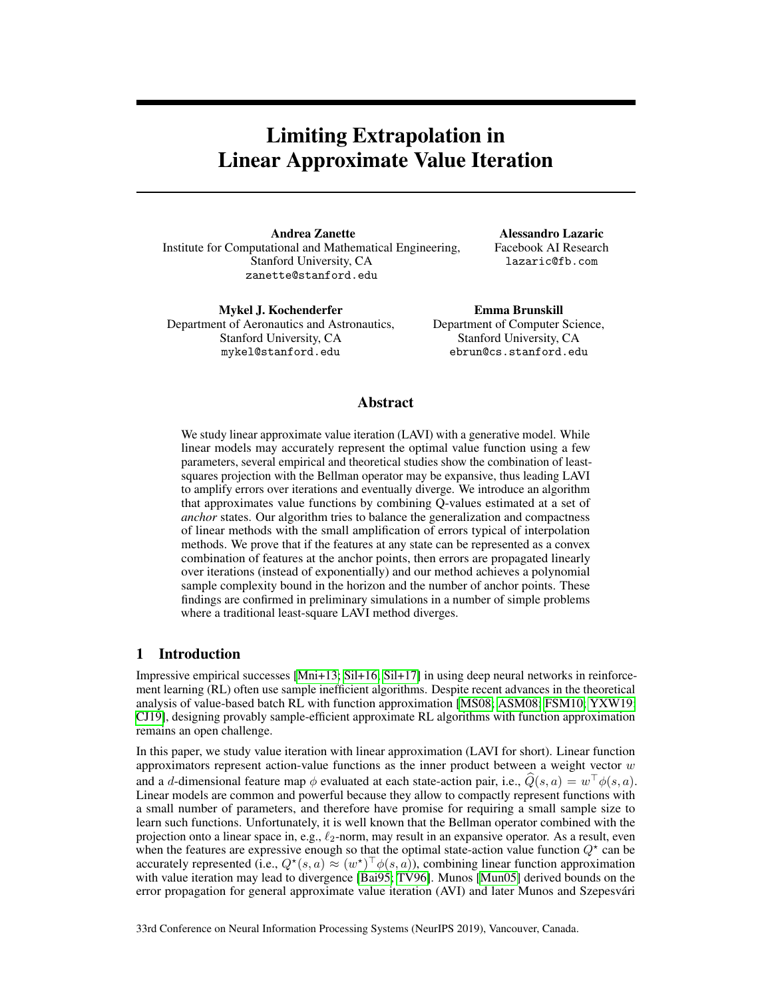# Limiting Extrapolation in Linear Approximate Value Iteration

Andrea Zanette Institute for Computational and Mathematical Engineering, Stanford University, CA zanette@stanford.edu

Alessandro Lazaric Facebook AI Research lazaric@fb.com

Mykel J. Kochenderfer Department of Aeronautics and Astronautics, Stanford University, CA mykel@stanford.edu

Emma Brunskill Department of Computer Science, Stanford University, CA ebrun@cs.stanford.edu

## Abstract

We study linear approximate value iteration (LAVI) with a generative model. While linear models may accurately represent the optimal value function using a few parameters, several empirical and theoretical studies show the combination of leastsquares projection with the Bellman operator may be expansive, thus leading LAVI to amplify errors over iterations and eventually diverge. We introduce an algorithm that approximates value functions by combining Q-values estimated at a set of *anchor* states. Our algorithm tries to balance the generalization and compactness of linear methods with the small amplification of errors typical of interpolation methods. We prove that if the features at any state can be represented as a convex combination of features at the anchor points, then errors are propagated linearly over iterations (instead of exponentially) and our method achieves a polynomial sample complexity bound in the horizon and the number of anchor points. These findings are confirmed in preliminary simulations in a number of simple problems where a traditional least-square LAVI method diverges.

# 1 Introduction

Impressive empirical successes  $\left|\text{Mni+13}\right|$ ;  $\left|\text{Si1+16}\right|$ ,  $\left|\text{Si1+17}\right|$  in using deep neural networks in reinforcement learning (RL) often use sample inefficient algorithms. Despite recent advances in the theoretical analysis of value-based batch RL with function approximation  $[MSO8]$   $[SSM08]$   $[FSM10]$  $[YXW19]$ CJ19], designing provably sample-efficient approximate RL algorithms with function approximation remains an open challenge.

In this paper, we study value iteration with linear approximation (LAVI for short). Linear function approximators represent action-value functions as the inner product between a weight vector *w* and a *d*-dimensional feature map  $\phi$  evaluated at each state-action pair, i.e.,  $\hat{Q}(s, a) = w^{\top} \phi(s, a)$ . Linear models are common and powerful because they allow to compactly represent functions with a small number of parameters, and therefore have promise for requiring a small sample size to learn such functions. Unfortunately, it is well known that the Bellman operator combined with the projection onto a linear space in, e.g.,  $\ell_2$ -norm, may result in an expansive operator. As a result, even when the features are expressive enough so that the optimal state-action value function  $Q^*$  can be accurately represented (i.e.,  $Q^*(s, a) \approx (w^*)^{\top} \phi(s, a)$ ), combining linear function approximation with value iteration may lead to divergence **[Bai95**; **TV96**]. Munos **[Mun05**] derived bounds on the error propagation for general approximate value iteration (AVI) and later Munos and Szepesvári

33rd Conference on Neural Information Processing Systems (NeurIPS 2019), Vancouver, Canada.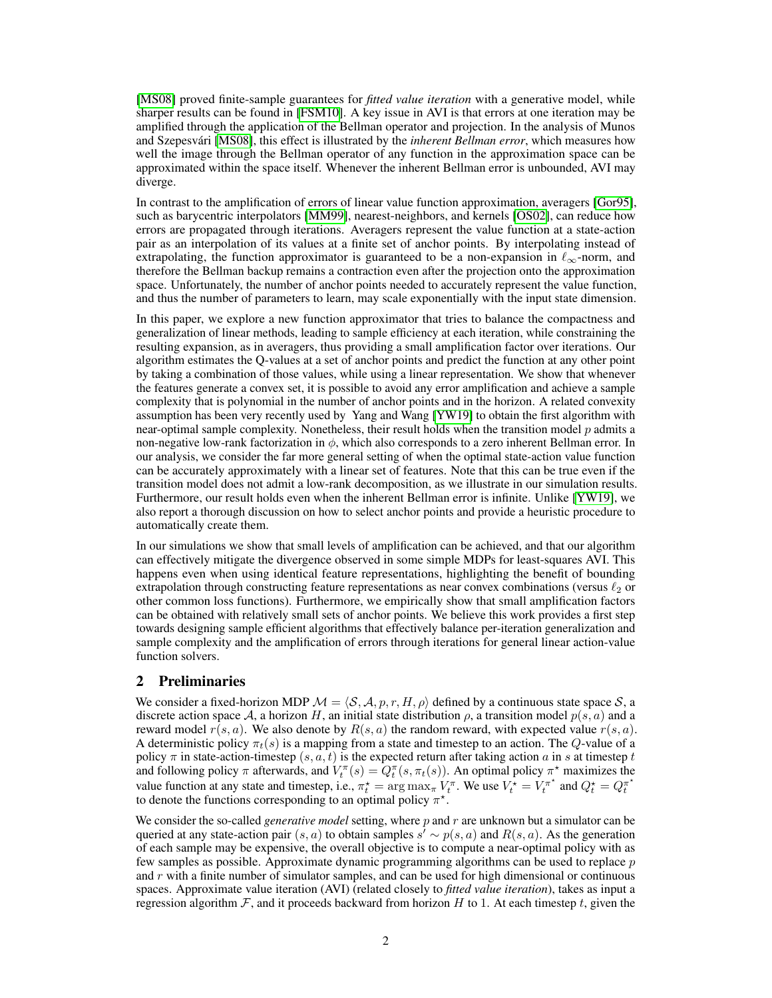[MS08] proved finite-sample guarantees for *fitted value iteration* with a generative model, while sharper results can be found in  $[FSM10]$ . A key issue in AVI is that errors at one iteration may be amplified through the application of the Bellman operator and projection. In the analysis of Munos and Szepesvári [MS08], this effect is illustrated by the *inherent Bellman error*, which measures how well the image through the Bellman operator of any function in the approximation space can be approximated within the space itself. Whenever the inherent Bellman error is unbounded, AVI may diverge.

In contrast to the amplification of errors of linear value function approximation, averagers [Gor95], such as barycentric interpolators **[MM99]**, nearest-neighbors, and kernels **[OS02]**, can reduce how errors are propagated through iterations. Averagers represent the value function at a state-action pair as an interpolation of its values at a finite set of anchor points. By interpolating instead of extrapolating, the function approximator is guaranteed to be a non-expansion in  $\ell_{\infty}$ -norm, and therefore the Bellman backup remains a contraction even after the projection onto the approximation space. Unfortunately, the number of anchor points needed to accurately represent the value function, and thus the number of parameters to learn, may scale exponentially with the input state dimension.

In this paper, we explore a new function approximator that tries to balance the compactness and generalization of linear methods, leading to sample efficiency at each iteration, while constraining the resulting expansion, as in averagers, thus providing a small amplification factor over iterations. Our algorithm estimates the Q-values at a set of anchor points and predict the function at any other point by taking a combination of those values, while using a linear representation. We show that whenever the features generate a convex set, it is possible to avoid any error amplification and achieve a sample complexity that is polynomial in the number of anchor points and in the horizon. A related convexity assumption has been very recently used by Yang and Wang **[YW19]** to obtain the first algorithm with near-optimal sample complexity. Nonetheless, their result holds when the transition model *p* admits a non-negative low-rank factorization in  $\phi$ , which also corresponds to a zero inherent Bellman error. In our analysis, we consider the far more general setting of when the optimal state-action value function can be accurately approximately with a linear set of features. Note that this can be true even if the transition model does not admit a low-rank decomposition, as we illustrate in our simulation results. Furthermore, our result holds even when the inherent Bellman error is infinite. Unlike [YW19], we also report a thorough discussion on how to select anchor points and provide a heuristic procedure to automatically create them.

In our simulations we show that small levels of amplification can be achieved, and that our algorithm can effectively mitigate the divergence observed in some simple MDPs for least-squares AVI. This happens even when using identical feature representations, highlighting the benefit of bounding extrapolation through constructing feature representations as near convex combinations (versus  $\ell_2$  or other common loss functions). Furthermore, we empirically show that small amplification factors can be obtained with relatively small sets of anchor points. We believe this work provides a first step towards designing sample efficient algorithms that effectively balance per-iteration generalization and sample complexity and the amplification of errors through iterations for general linear action-value function solvers.

## 2 Preliminaries

We consider a fixed-horizon MDP  $M = \langle S, A, p, r, H, \rho \rangle$  defined by a continuous state space *S*, a discrete action space *A*, a horizon *H*, an initial state distribution  $\rho$ , a transition model  $p(s, a)$  and a reward model  $r(s, a)$ . We also denote by  $R(s, a)$  the random reward, with expected value  $r(s, a)$ . A deterministic policy  $\pi_t(s)$  is a mapping from a state and timestep to an action. The *Q*-value of a policy  $\pi$  in state-action-timestep  $(s, a, t)$  is the expected return after taking action  $a$  in  $s$  at timestep  $t$ and following policy  $\pi$  afterwards, and  $V_t^{\pi}(s) = Q_t^{\pi}(s, \pi_t(s))$ . An optimal policy  $\pi^*$  maximizes the value function at any state and timestep, i.e.,  $\pi_t^* = \arg \max_{\pi} V_t^{\pi}$ . We use  $V_t^* = V_t^{\pi^*}$  and  $Q_t^* = Q_t^{\pi^*}$ to denote the functions corresponding to an optimal policy  $\pi^*$ .

We consider the so-called *generative model* setting, where *p* and *r* are unknown but a simulator can be queried at any state-action pair  $(s, a)$  to obtain samples  $s' \sim p(s, a)$  and  $R(s, a)$ . As the generation of each sample may be expensive, the overall objective is to compute a near-optimal policy with as few samples as possible. Approximate dynamic programming algorithms can be used to replace *p* and *r* with a finite number of simulator samples, and can be used for high dimensional or continuous spaces. Approximate value iteration (AVI) (related closely to *fitted value iteration*), takes as input a regression algorithm  $\mathcal{F}$ , and it proceeds backward from horizon  $H$  to 1. At each timestep  $t$ , given the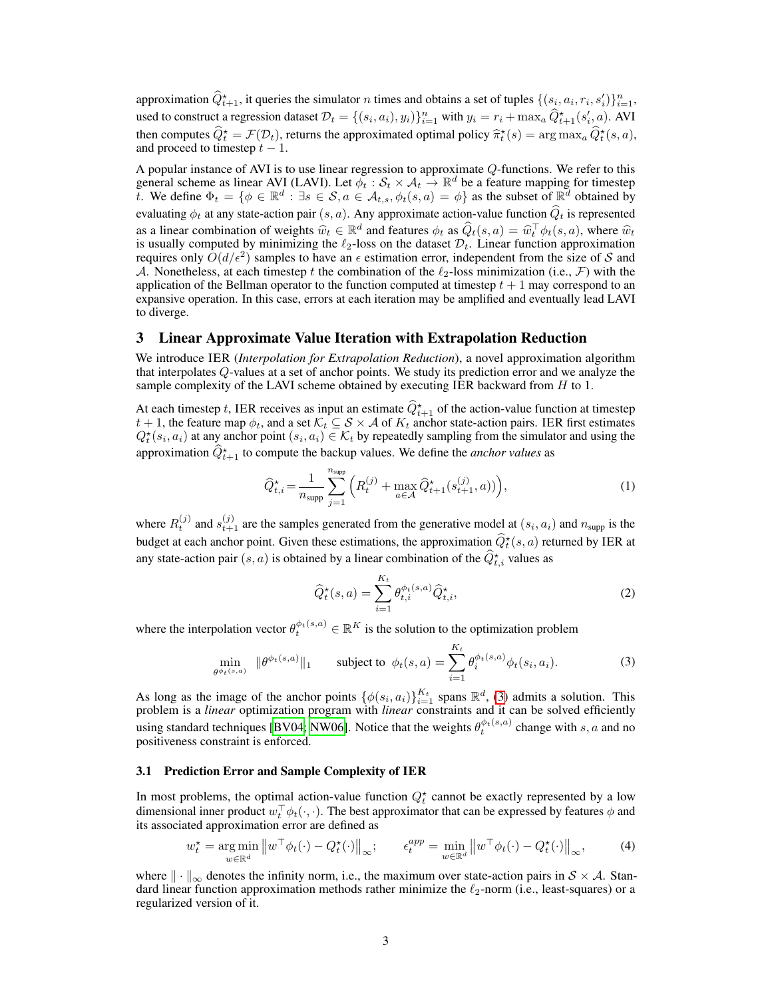approximation  $\hat{Q}_{t+1}^*$ , it queries the simulator *n* times and obtains a set of tuples  $\{(s_i, a_i, r_i, s'_i)\}_{i=1}^n$ , used to construct a regression dataset  $\mathcal{D}_t = \{(s_i, a_i), y_i\}_{i=1}^n$  with  $y_i = r_i + \max_a \hat{Q}_{t+1}^*(s_i', a)$ . AVI then computes  $\hat{Q}_t^* = \mathcal{F}(\mathcal{D}_t)$ , returns the approximated optimal policy  $\hat{\pi}_t^*(s) = \arg \max_a \hat{Q}_t^*(s, a)$ , and proceed to timestep  $t - 1$ .

A popular instance of AVI is to use linear regression to approximate *Q*-functions. We refer to this general scheme as linear AVI (LAVI). Let  $\phi_t : \mathcal{S}_t \times \mathcal{A}_t \to \mathbb{R}^d$  be a feature mapping for timestep *t*. We define  $\Phi_t = \{\phi \in \mathbb{R}^d : \exists s \in \mathcal{S}, a \in \mathcal{A}_{t,s}, \phi_t(s,a) = \phi\}$  as the subset of  $\mathbb{R}^d$  obtained by evaluating  $\phi_t$  at any state-action pair  $(s, a)$ . Any approximate action-value function  $\hat{Q}_t$  is represented as a linear combination of weights  $\hat{w}_t \in \mathbb{R}^d$  and features  $\phi_t$  as  $\hat{Q}_t(s, a) = \hat{w}_t^{\top} \phi_t(s, a)$ , where  $\hat{w}_t$  is very linear proportional to which in proportion that  $\hat{w}_t$ is usually computed by minimizing the  $\ell_2$ -loss on the dataset  $\mathcal{D}_t$ . Linear function approximation requires only  $\bar{O}(d/\epsilon^2)$  samples to have an  $\epsilon$  estimation error, independent from the size of *S* and *A*. Nonetheless, at each timestep *t* the combination of the  $\ell_2$ -loss minimization (i.e., *F*) with the application of the Bellman operator to the function computed at timestep  $t + 1$  may correspond to an expansive operation. In this case, errors at each iteration may be amplified and eventually lead LAVI to diverge.

## 3 Linear Approximate Value Iteration with Extrapolation Reduction

We introduce IER (*Interpolation for Extrapolation Reduction*), a novel approximation algorithm that interpolates *Q*-values at a set of anchor points. We study its prediction error and we analyze the sample complexity of the LAVI scheme obtained by executing IER backward from *H* to 1.

At each timestep *t*, IER receives as input an estimate  $\hat{Q}_{t+1}^*$  of the action-value function at timestep  $t + 1$ , the feature map  $\phi_t$ , and a set  $\mathcal{K}_t \subseteq \mathcal{S} \times \mathcal{A}$  of  $K_t$  anchor state-action pairs. IER first estimates  $Q_t^*(s_i, a_i)$  at any anchor point  $(s_i, a_i) \in \mathcal{K}_t$  by repeatedly sampling from the simulator and using the approximation  $\hat{Q}_{t+1}^*$  to compute the backup values. We define the *anchor values* as

$$
\hat{Q}_{t,i}^{\star} = \frac{1}{n_{\text{supp}}} \sum_{j=1}^{n_{\text{supp}}} \left( R_t^{(j)} + \max_{a \in \mathcal{A}} \hat{Q}_{t+1}^{\star}(s_{t+1}^{(j)}, a)) \right),\tag{1}
$$

where  $R_t^{(j)}$  and  $s_{t+1}^{(j)}$  are the samples generated from the generative model at  $(s_i, a_i)$  and  $n_{\text{supp}}$  is the budget at each anchor point. Given these estimations, the approximation  $\hat{Q}_t^*(s, a)$  returned by IER at any state-action pair  $(s, a)$  is obtained by a linear combination of the  $\hat{Q}_{t,i}^{\star}$  values as

$$
\widehat{Q}_t^{\star}(s,a) = \sum_{i=1}^{K_t} \theta_{t,i}^{\phi_t(s,a)} \widehat{Q}_{t,i}^{\star},\tag{2}
$$

where the interpolation vector  $\theta_t^{\phi_t(s,a)} \in \mathbb{R}^K$  is the solution to the optimization problem

$$
\min_{\theta \phi_t(s,a)} \|\theta^{\phi_t(s,a)}\|_1 \qquad \text{subject to} \ \phi_t(s,a) = \sum_{i=1}^{K_t} \theta_i^{\phi_t(s,a)} \phi_t(s_i,a_i). \tag{3}
$$

As long as the image of the anchor points  $\{\phi(s_i, a_i)\}_{i=1}^{K_t}$  spans  $\mathbb{R}^d$ ,  $\overline{3}$  admits a solution. This problem is a *linear* optimization program with *linear* constraints and it can be solved efficiently using standard techniques  $[BV04]$ <sup>t</sup> NW06</sub>. Notice that the weights  $\theta_t^{\phi_t(s,a)}$  change with *s*, *a* and no positiveness constraint is enforced.

#### 3.1 Prediction Error and Sample Complexity of IER

In most problems, the optimal action-value function  $Q_t^*$  cannot be exactly represented by a low dimensional inner product  $w_t^{\dagger} \phi_t(\cdot, \cdot)$ . The best approximator that can be expressed by features  $\phi$  and its associated approximation error are defined as

$$
w_t^* = \underset{w \in \mathbb{R}^d}{\arg\min} \|w^\top \phi_t(\cdot) - Q_t^*(\cdot)\|_\infty; \qquad \epsilon_t^{app} = \underset{w \in \mathbb{R}^d}{\min} \|w^\top \phi_t(\cdot) - Q_t^*(\cdot)\|_\infty,\tag{4}
$$

where  $\|\cdot\|_{\infty}$  denotes the infinity norm, i.e., the maximum over state-action pairs in  $S \times A$ . Standard linear function approximation methods rather minimize the  $\ell_2$ -norm (i.e., least-squares) or a regularized version of it.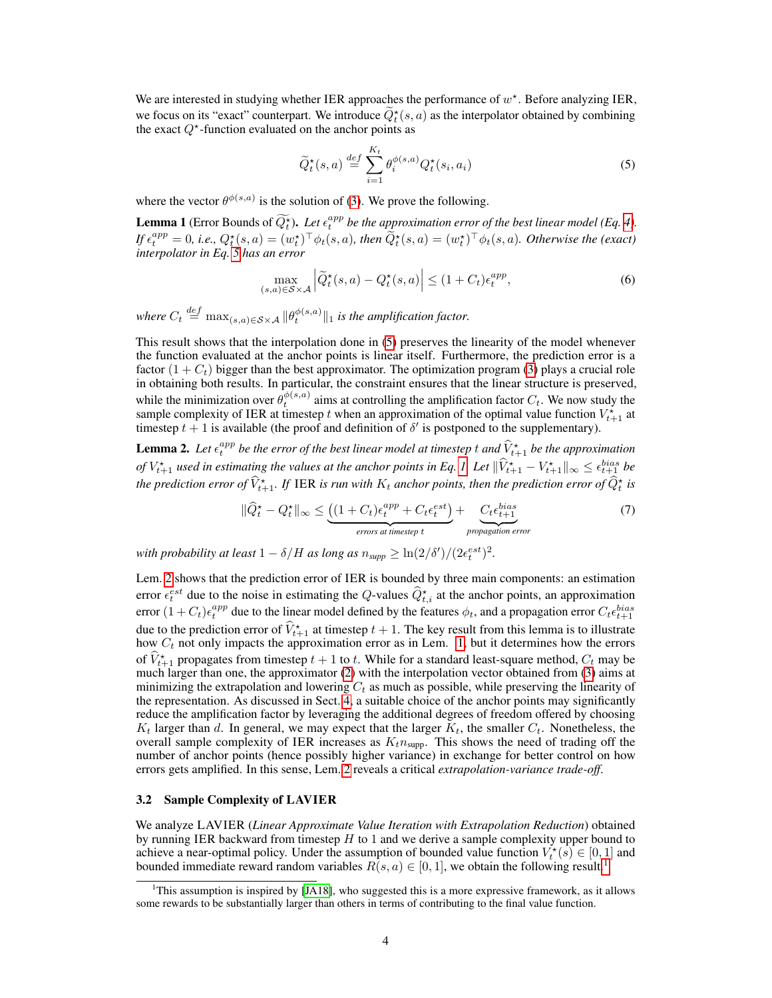We are interested in studying whether IER approaches the performance of  $w^*$ . Before analyzing IER, we focus on its "exact" counterpart. We introduce  $Q_t^*(s, a)$  as the interpolator obtained by combining the exact  $Q^*$ -function evaluated on the anchor points as

$$
\widetilde{Q}_t^{\star}(s, a) \stackrel{def}{=} \sum_{i=1}^{K_t} \theta_i^{\phi(s, a)} Q_t^{\star}(s_i, a_i)
$$
\n
$$
(5)
$$

where the vector  $\theta^{\phi(s,a)}$  is the solution of  $\overline{3}$ . We prove the following.

**Lemma 1** (Error Bounds of  $\widetilde{Q_t^*}$ ). Let  $\epsilon_t^{app}$  be the approximation error of the best linear model (Eq. 4). If  $\epsilon_t^{app} = 0$ , i.e.,  $Q_t^{\star}(s, a) = (w_t^{\star})^{\top} \phi_t(s, a)$ , then  $\widetilde{Q}_t^{\star}(s, a) = (w_t^{\star})^{\top} \phi_t(s, a)$ . Otherwise the (exact) *interpolator in Eq. 5 has an error*

$$
\max_{(s,a)\in\mathcal{S}\times\mathcal{A}} \left| \widetilde{Q}_t^{\star}(s,a) - Q_t^{\star}(s,a) \right| \le (1+C_t)\epsilon_t^{app},\tag{6}
$$

*where*  $C_t \stackrel{def}{=} \max_{(s,a) \in \mathcal{S} \times \mathcal{A}} ||\theta_t^{\phi(s,a)}||_1$  is the amplification factor.

This result shows that the interpolation done in  $\sqrt{5}$  preserves the linearity of the model whenever the function evaluated at the anchor points is linear itself. Furthermore, the prediction error is a factor  $(1 + C_t)$  bigger than the best approximator. The optimization program  $\overline{3}$  plays a crucial role in obtaining both results. In particular, the constraint ensures that the linear structure is preserved, while the minimization over  $\theta_t^{\phi(s,a)}$  aims at controlling the amplification factor  $C_t$ . We now study the sample complexity of IER at timestep *t* when an approximation of the optimal value function  $V_{t+1}^{\star}$  at timestep  $t + 1$  is available (the proof and definition of  $\delta'$  is postponed to the supplementary).

**Lemma 2.** Let  $\epsilon_t^{app}$  be the error of the best linear model at timestep t and  $\widehat{V}^\star_{t+1}$  be the approximation *of*  $V_{t+1}^*$  *used in estimating the values at the anchor points in Eq.*  $I_I$  Let  $\|\hat{V}_{t+1}^* - V_{t+1}^*\|_{\infty} \leq \epsilon_{t+1}^{bias}$  be the prediction error of  $\widehat{V}^\star_{t+1}$ . If IER is run with  $K_t$  anchor points, then the prediction error of  $\widehat{Q}^\star_t$  is

$$
\|\widehat{Q}_t^* - Q_t^*\|_{\infty} \leq \underbrace{\left((1 + C_t)\epsilon_t^{app} + C_t\epsilon_t^{est}\right)}_{\text{errors at timestep }t} + \underbrace{C_t\epsilon_{t+1}^{\text{bias}}}_{\text{propagation error}} \tag{7}
$$

*with probability at least*  $1 - \delta/H$  *as long as*  $n_{\text{supp}} \geq \ln(2/\delta')/(2\epsilon_t^{\text{est}})^2$ .

Lem.  $\sqrt{2}$  shows that the prediction error of IER is bounded by three main components: an estimation error  $\epsilon_t^{est}$  due to the noise in estimating the *Q*-values  $\hat{Q}_{t,i}^*$  at the anchor points, an approximation error  $(1+C_t)\epsilon_t^{app}$  due to the linear model defined by the features  $\phi_t$ , and a propagation error  $C_t\epsilon_{t+1}^{bias}$ due to the prediction error of  $\hat{V}_{t+1}^{\star}$  at timestep  $t+1$ . The key result from this lemma is to illustrate how  $C_t$  not only impacts the approximation error as in Lem.  $\left| \mathbf{l} \right|$  but it determines how the errors of  $\hat{V}_{t+1}^*$  propagates from timestep  $t+1$  to  $t$ . While for a standard least-square method,  $C_t$  may be much larger than one, the approximator  $(2)$  with the interpolation vector obtained from  $(3)$  aims at minimizing the extrapolation and lowering  $C_t$  as much as possible, while preserving the linearity of the representation. As discussed in Sect.  $\sqrt{4}$ , a suitable choice of the anchor points may significantly reduce the amplification factor by leveraging the additional degrees of freedom offered by choosing  $K_t$  larger than *d*. In general, we may expect that the larger  $K_t$ , the smaller  $C_t$ . Nonetheless, the overall sample complexity of IER increases as  $K_t n_{\text{supp}}$ . This shows the need of trading off the number of anchor points (hence possibly higher variance) in exchange for better control on how errors gets amplified. In this sense, Lem.<sup>[2]</sup> reveals a critical *extrapolation-variance trade-off*.

#### 3.2 Sample Complexity of LAVIER

We analyze LAVIER (*Linear Approximate Value Iteration with Extrapolation Reduction*) obtained by running IER backward from timestep *H* to 1 and we derive a sample complexity upper bound to achieve a near-optimal policy. Under the assumption of bounded value function  $V_t^*(s) \in [0,1]$  and bounded immediate reward random variables  $R(s, a) \in [0, 1]$ , we obtain the following result<sup>[1</sup>]

<sup>&</sup>lt;sup>1</sup>This assumption is inspired by  $[JA18]$ , who suggested this is a more expressive framework, as it allows some rewards to be substantially larger than others in terms of contributing to the final value function.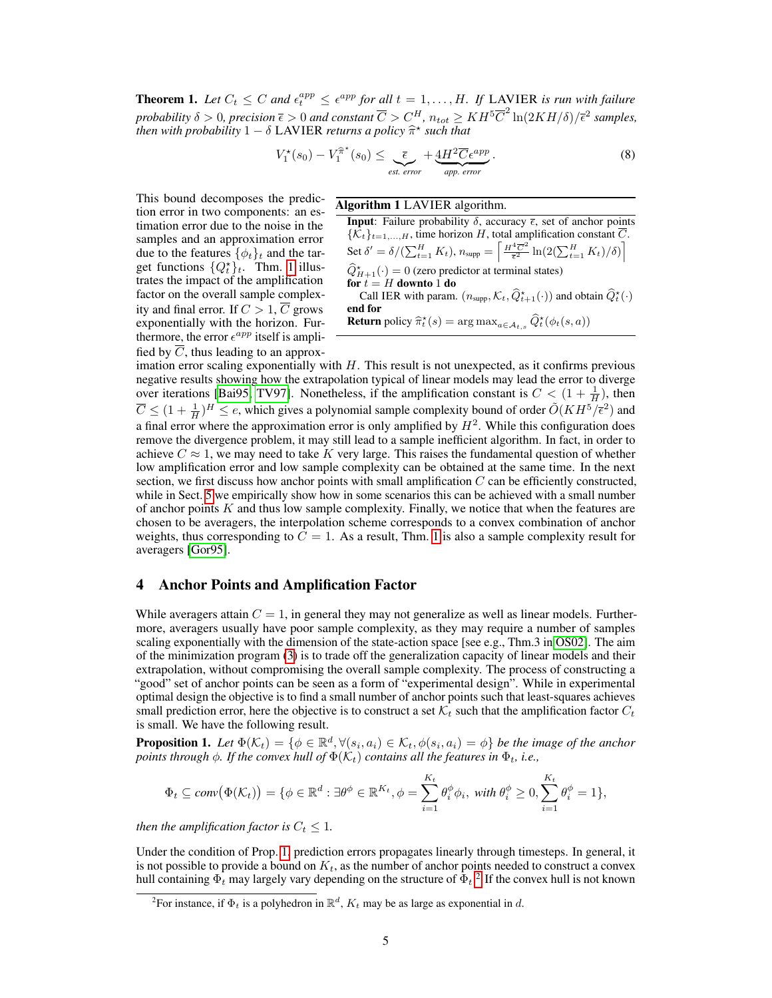**Theorem 1.** Let  $C_t \leq C$  and  $\epsilon_t^{app} \leq \epsilon^{app}$  for all  $t = 1, \ldots, H$ . If LAVIER is run with failure  $p$ *robability*  $\delta > 0$ ,  $p$ *recision*  $\overline{\epsilon} > 0$  *and constant*  $\overline{C} > C_H^H$ ,  $n_{tot} \geq KH^5 \overline{C}^2 \ln(2KH/\delta)/\overline{\epsilon}^2$  *samples, then with probability*  $1 - \delta$  LAVIER *returns a policy*  $\hat{\pi}^*$  *such that* 

$$
V_1^*(s_0) - V_1^{\hat{\pi}^*}(s_0) \le \underbrace{\bar{\epsilon}}_{\text{est. error}} + \underbrace{4H^2 \overline{C} \epsilon^{app}}_{\text{app. error}}.
$$
 (8)

This bound decomposes the prediction error in two components: an estimation error due to the noise in the samples and an approximation error due to the features  $\{\phi_t\}_t$  and the target functions  $\{Q_t^{\star}\}_t$ . Thm.  $\boxed{1}$  illustrates the impact of the amplification factor on the overall sample complexity and final error. If  $C > 1$ ,  $\overline{C}$  grows exponentially with the horizon. Furthermore, the error  $\epsilon^{app}$  itself is amplified by  $\overline{C}$ , thus leading to an approx-

Algorithm 1 LAVIER algorithm.

**Input**: Failure probability  $\delta$ , accuracy  $\bar{\epsilon}$ , set of anchor points  $\{\mathcal{K}_t\}_{t=1,\dots,H}$ , time horizon *H*, total amplification constant *C*.  $\operatorname{Set} \delta' = \delta / (\sum_{t=1}^H K_t), n_{\text{supp}} = \left[ \frac{H^4 \overline{C}^2}{\overline{\epsilon}^2} \ln(2(\sum_{t=1}^H K_t)/\delta) \right]$  $\hat{Q}_{H+1}^{\star}(\cdot) = 0$  (zero predictor at terminal states) for  $t = H$  downto 1 do Call IER with param.  $(n_{\text{supp}}, \mathcal{K}_t, \widehat{Q}_{t+1}^{\star}(\cdot))$  and obtain  $\widehat{Q}_t^{\star}(\cdot)$ end for **Return** policy  $\widehat{\pi}_t^*(s) = \arg \max_{a \in \mathcal{A}_{t,s}} \widehat{Q}_t^*(\phi_t(s,a))$ 

imation error scaling exponentially with *H*. This result is not unexpected, as it confirms previous negative results showing how the extrapolation typical of linear models may lead the error to diverge over iterations [Bai95] TV97]. Nonetheless, if the amplification constant is  $C < (1 + \frac{1}{H})$ , then  $\overline{C} \leq (1 + \frac{1}{H})^H \leq e$ , which gives a polynomial sample complexity bound of order  $\tilde{O}(KH^5/\bar{\epsilon}^2)$  and a final error where the approximation error is only amplified by  $H<sup>2</sup>$ . While this configuration does remove the divergence problem, it may still lead to a sample inefficient algorithm. In fact, in order to achieve  $C \approx 1$ , we may need to take K very large. This raises the fundamental question of whether low amplification error and low sample complexity can be obtained at the same time. In the next section, we first discuss how anchor points with small amplification *C* can be efficiently constructed, while in Sect.  $\overline{5}$  we empirically show how in some scenarios this can be achieved with a small number of anchor points *K* and thus low sample complexity. Finally, we notice that when the features are chosen to be averagers, the interpolation scheme corresponds to a convex combination of anchor weights, thus corresponding to  $C = 1$ . As a result, Thm.  $\vert \bar{\mathbf{l}} \vert$  is also a sample complexity result for averagers [Gor95].

## 4 Anchor Points and Amplification Factor

While averagers attain  $C = 1$ , in general they may not generalize as well as linear models. Furthermore, averagers usually have poor sample complexity, as they may require a number of samples scaling exponentially with the dimension of the state-action space [see e.g., Thm.3 in  $\overline{O}S02$ ]. The aim of the minimization program  $\langle 3 \rangle$  is to trade off the generalization capacity of linear models and their extrapolation, without compromising the overall sample complexity. The process of constructing a "good" set of anchor points can be seen as a form of "experimental design". While in experimental optimal design the objective is to find a small number of anchor points such that least-squares achieves small prediction error, here the objective is to construct a set  $K_t$  such that the amplification factor  $C_t$ is small. We have the following result.

**Proposition 1.** Let  $\Phi(\mathcal{K}_t) = \{\phi \in \mathbb{R}^d, \forall (s_i, a_i) \in \mathcal{K}_t, \phi(s_i, a_i) = \phi\}$  be the image of the anchor *points through*  $\phi$ *. If the convex hull of*  $\Phi(\mathcal{K}_t)$  *contains all the features in*  $\Phi_t$ *, i.e.,* 

$$
\Phi_t \subseteq conv(\Phi(\mathcal{K}_t)) = \{ \phi \in \mathbb{R}^d : \exists \theta^{\phi} \in \mathbb{R}^{K_t}, \phi = \sum_{i=1}^{K_t} \theta_i^{\phi} \phi_i, \text{ with } \theta_i^{\phi} \ge 0, \sum_{i=1}^{K_t} \theta_i^{\phi} = 1 \},
$$

*then the amplification factor is*  $C_t \leq 1$ *.* 

Under the condition of Prop.  $\Pi$  prediction errors propagates linearly through timesteps. In general, it is not possible to provide a bound on  $K_t$ , as the number of anchor points needed to construct a convex hull containing  $\Phi_t$  may largely vary depending on the structure of  $\Phi_t^2$  If the convex hull is not known

<sup>&</sup>lt;sup>2</sup>For instance, if  $\Phi_t$  is a polyhedron in  $\mathbb{R}^d$ ,  $K_t$  may be as large as exponential in *d*.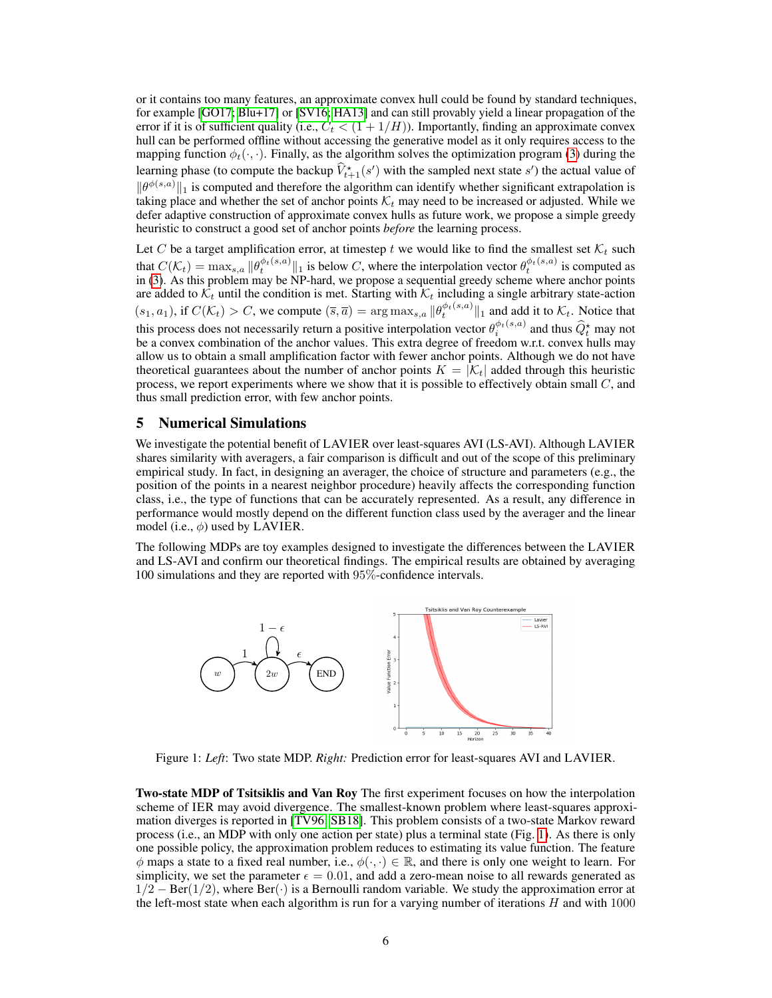or it contains too many features, an approximate convex hull could be found by standard techniques, for example  $\left[\overline{GO17}; \overline{Blu+17}\right]$  or  $\left[\overline{SVI6}; \overline{HA13}\right]$  and can still provably yield a linear propagation of the error if it is of sufficient quality (i.e.,  $C_t \leq (1 + 1/H)$ ). Importantly, finding an approximate convex hull can be performed offline without accessing the generative model as it only requires access to the mapping function  $\phi_t(\cdot, \cdot)$ . Finally, as the algorithm solves the optimization program  $\overline{\left(3\right)}$  during the learning phase (to compute the backup  $\hat{V}_{t+1}^*(s')$  with the sampled next state  $s'$ ) the actual value of  $\|\theta^{\phi(s,a)}\|_1$  is computed and therefore the algorithm can identify whether significant extrapolation is taking place and whether the set of anchor points  $K_t$  may need to be increased or adjusted. While we defer adaptive construction of approximate convex hulls as future work, we propose a simple greedy heuristic to construct a good set of anchor points *before* the learning process.

Let *C* be a target amplification error, at timestep  $t$  we would like to find the smallest set  $K_t$  such that  $C(\mathcal{K}_t) = \max_{s,a} ||\theta_t^{\phi_t(s,a)}||_1$  is below *C*, where the interpolation vector  $\theta_t^{\phi_t(s,a)}$  is computed as in  $\left(3\right)$ . As this problem may be NP-hard, we propose a sequential greedy scheme where anchor points are added to  $K_t$  until the condition is met. Starting with  $K_t$  including a single arbitrary state-action  $(s_1, a_1)$ , if  $C(\mathcal{K}_t) > C$ , we compute  $(\overline{s}, \overline{a}) = \arg \max_{s,a} ||\theta_t^{\phi_t(s,a)}||_1$  and add it to  $\mathcal{K}_t$ . Notice that this process does not necessarily return a positive interpolation vector  $\theta_i^{\phi_t(s,a)}$  and thus  $\hat{Q}_t^*$  may not be a convex combination of the anchor values. This extra degree of freedom w.r.t. convex hulls may allow us to obtain a small amplification factor with fewer anchor points. Although we do not have theoretical guarantees about the number of anchor points  $K = |\mathcal{K}_t|$  added through this heuristic process, we report experiments where we show that it is possible to effectively obtain small *C*, and thus small prediction error, with few anchor points.

## 5 Numerical Simulations

We investigate the potential benefit of LAVIER over least-squares AVI (LS-AVI). Although LAVIER shares similarity with averagers, a fair comparison is difficult and out of the scope of this preliminary empirical study. In fact, in designing an averager, the choice of structure and parameters (e.g., the position of the points in a nearest neighbor procedure) heavily affects the corresponding function class, i.e., the type of functions that can be accurately represented. As a result, any difference in performance would mostly depend on the different function class used by the averager and the linear model (i.e.,  $\phi$ ) used by LAVIER.

The following MDPs are toy examples designed to investigate the differences between the LAVIER and LS-AVI and confirm our theoretical findings. The empirical results are obtained by averaging 100 simulations and they are reported with 95%-confidence intervals.



Figure 1: *Left*: Two state MDP. *Right:* Prediction error for least-squares AVI and LAVIER.

Two-state MDP of Tsitsiklis and Van Roy The first experiment focuses on how the interpolation scheme of IER may avoid divergence. The smallest-known problem where least-squares approximation diverges is reported in  $[TV96]$  SB18. This problem consists of a two-state Markov reward process (i.e., an MDP with only one action per state) plus a terminal state (Fig.  $\prod$ ). As there is only one possible policy, the approximation problem reduces to estimating its value function. The feature  $\phi$  maps a state to a fixed real number, i.e.,  $\phi(\cdot, \cdot) \in \mathbb{R}$ , and there is only one weight to learn. For simplicity, we set the parameter  $\epsilon = 0.01$ , and add a zero-mean noise to all rewards generated as  $1/2$  – Ber( $1/2$ ), where Ber( $\cdot$ ) is a Bernoulli random variable. We study the approximation error at the left-most state when each algorithm is run for a varying number of iterations *H* and with 1000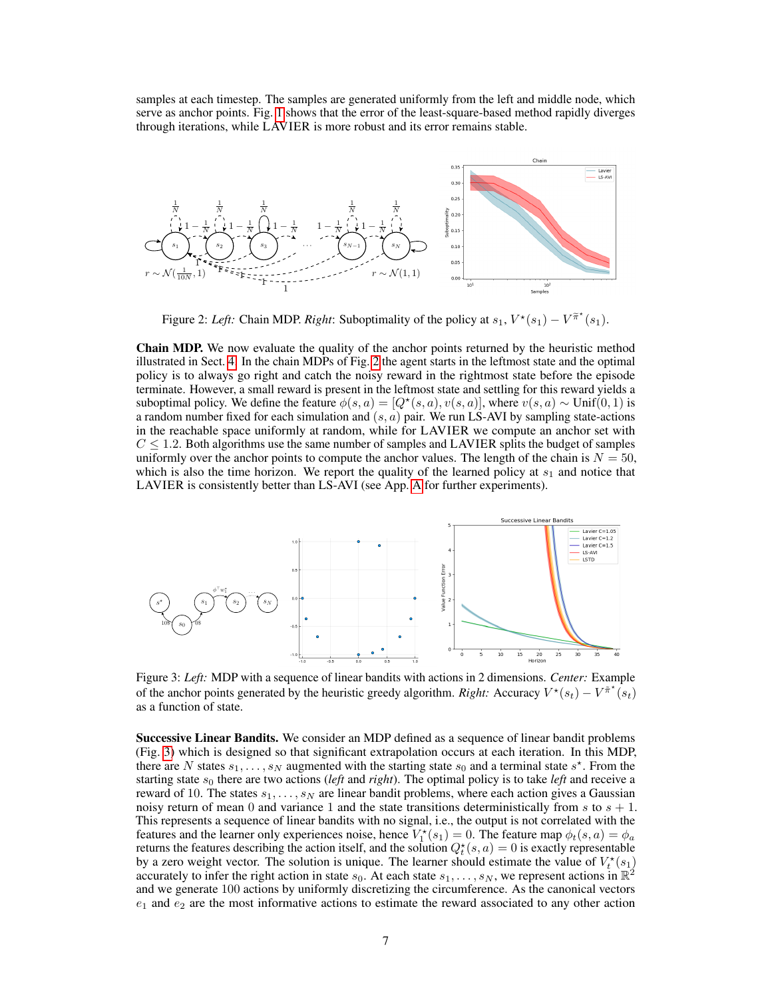samples at each timestep. The samples are generated uniformly from the left and middle node, which serve as anchor points. Fig.  $\Pi$  shows that the error of the least-square-based method rapidly diverges through iterations, while  $L\overline{AV}$  IER is more robust and its error remains stable.



Figure 2: Left: Chain MDP. *Right*: Suboptimality of the policy at  $s_1$ ,  $V^*(s_1) - V^{\tilde{\pi}^*}(s_1)$ .

Chain MDP. We now evaluate the quality of the anchor points returned by the heuristic method illustrated in Sect.  $\overline{4}$ . In the chain MDPs of Fig.  $\overline{2}$  the agent starts in the leftmost state and the optimal policy is to always go right and catch the noisy reward in the rightmost state before the episode terminate. However, a small reward is present in the leftmost state and settling for this reward yields a suboptimal policy. We define the feature  $\phi(s, a) = [Q^*(s, a), v(s, a)]$ , where  $v(s, a) \sim \text{Unif}(0, 1)$  is a random number fixed for each simulation and  $(s, a)$  pair. We run LS-AVI by sampling state-actions in the reachable space uniformly at random, while for LAVIER we compute an anchor set with  $C \leq 1.2$ . Both algorithms use the same number of samples and LAVIER splits the budget of samples uniformly over the anchor points to compute the anchor values. The length of the chain is  $N = 50$ , which is also the time horizon. We report the quality of the learned policy at *s*<sup>1</sup> and notice that LAVIER is consistently better than LS-AVI (see App.  $\overline{A}$  for further experiments).



Figure 3: *Left:* MDP with a sequence of linear bandits with actions in 2 dimensions. *Center:* Example of the anchor points generated by the heuristic greedy algorithm. *Right:* Accuracy  $V^*(s_t) - V^{\pi^*}(s_t)$ as a function of state.

Successive Linear Bandits. We consider an MDP defined as a sequence of linear bandit problems (Fig. 3) which is designed so that significant extrapolation occurs at each iteration. In this MDP, there are *N* states  $s_1, \ldots, s_N$  augmented with the starting state  $s_0$  and a terminal state  $s^*$ . From the starting state *s*<sup>0</sup> there are two actions (*left* and *right*). The optimal policy is to take *left* and receive a reward of 10. The states *s*1*,...,s<sup>N</sup>* are linear bandit problems, where each action gives a Gaussian noisy return of mean 0 and variance 1 and the state transitions deterministically from  $s$  to  $s + 1$ . This represents a sequence of linear bandits with no signal, i.e., the output is not correlated with the features and the learner only experiences noise, hence  $V_1^*(s_1) = 0$ . The feature map  $\phi_t(s, a) = \phi_a$ returns the features describing the action itself, and the solution  $Q_t^*(s, a) = 0$  is exactly representable by a zero weight vector. The solution is unique. The learner should estimate the value of  $V_t^*(s_1)$ accurately to infer the right action in state  $s_0$ . At each state  $s_1, \ldots, s_N$ , we represent actions in  $\mathbb{R}^2$ and we generate 100 actions by uniformly discretizing the circumference. As the canonical vectors *e*<sup>1</sup> and *e*<sup>2</sup> are the most informative actions to estimate the reward associated to any other action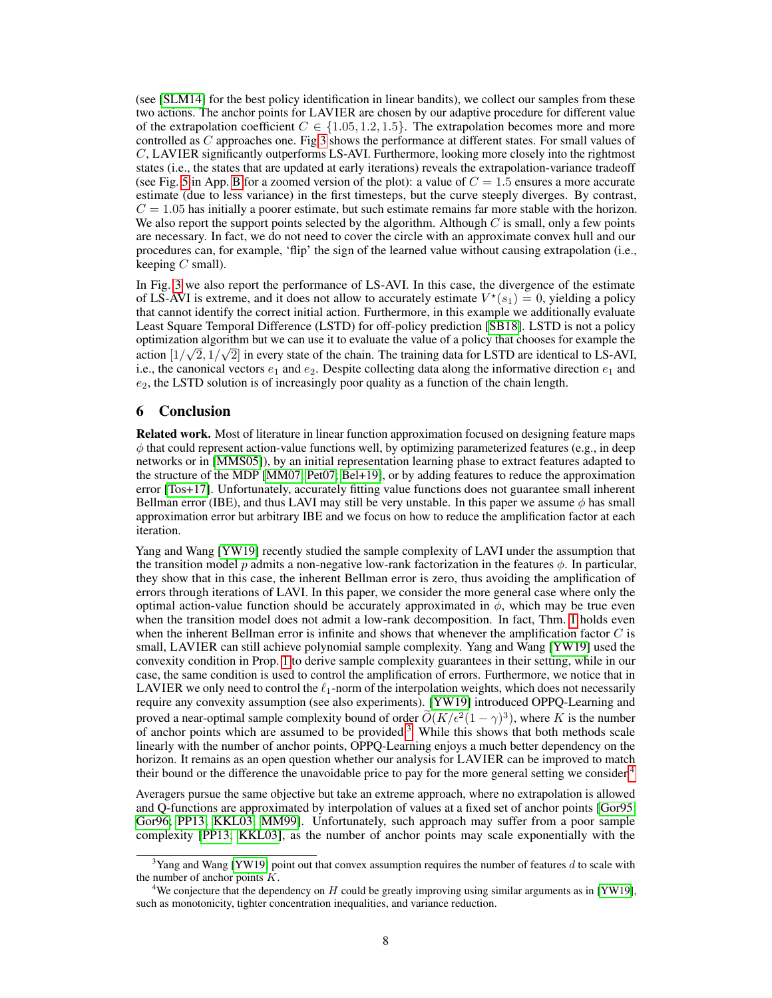(see  $\text{SLM14}$ ) for the best policy identification in linear bandits), we collect our samples from these two actions. The anchor points for LAVIER are chosen by our adaptive procedure for different value of the extrapolation coefficient  $C \in \{1.05, 1.2, 1.5\}$ . The extrapolation becomes more and more controlled as *C* approaches one. Fig $\overline{3}$  shows the performance at different states. For small values of *C*, LAVIER significantly outperforms LS-AVI. Furthermore, looking more closely into the rightmost states (i.e., the states that are updated at early iterations) reveals the extrapolation-variance tradeoff (see Fig.  $\overline{5}$  in App.  $\overline{B}$  for a zoomed version of the plot): a value of  $C = 1.5$  ensures a more accurate estimate (due to less variance) in the first timesteps, but the curve steeply diverges. By contrast,  $C = 1.05$  has initially a poorer estimate, but such estimate remains far more stable with the horizon. We also report the support points selected by the algorithm. Although  $C$  is small, only a few points are necessary. In fact, we do not need to cover the circle with an approximate convex hull and our procedures can, for example, 'flip' the sign of the learned value without causing extrapolation (i.e., keeping *C* small).

In Fig.  $\overline{3}$  we also report the performance of LS-AVI. In this case, the divergence of the estimate of LS-AVI is extreme, and it does not allow to accurately estimate  $V^*(s_1)=0$ , yielding a policy that cannot identify the correct initial action. Furthermore, in this example we additionally evaluate Least Square Temporal Difference (LSTD) for off-policy prediction [SB18]. LSTD is not a policy optimization algorithm but we can use it to evaluate the value of a policy that chooses for example the action  $[1/\sqrt{2}, 1/\sqrt{2}]$  in every state of the chain. The training data for LSTD are identical to LS-AVI, i.e., the canonical vectors  $e_1$  and  $e_2$ . Despite collecting data along the informative direction  $e_1$  and *e*2, the LSTD solution is of increasingly poor quality as a function of the chain length.

## 6 Conclusion

Related work. Most of literature in linear function approximation focused on designing feature maps  $\phi$  that could represent action-value functions well, by optimizing parameterized features (e.g., in deep networks or in [MMS05]), by an initial representation learning phase to extract features adapted to the structure of the MDP  $\text{[MM07]}$   $\text{Pet07}$ ;  $\text{Bel+19}$ , or by adding features to reduce the approximation error **[Tos+17]**. Unfortunately, accurately fitting value functions does not guarantee small inherent Bellman error (IBE), and thus LAVI may still be very unstable. In this paper we assume  $\phi$  has small approximation error but arbitrary IBE and we focus on how to reduce the amplification factor at each iteration.

Yang and Wang **[YW19]** recently studied the sample complexity of LAVI under the assumption that the transition model *p* admits a non-negative low-rank factorization in the features  $\phi$ . In particular, they show that in this case, the inherent Bellman error is zero, thus avoiding the amplification of errors through iterations of LAVI. In this paper, we consider the more general case where only the optimal action-value function should be accurately approximated in  $\phi$ , which may be true even when the transition model does not admit a low-rank decomposition. In fact, Thm.  $\Pi$  holds even when the inherent Bellman error is infinite and shows that whenever the amplification factor *C* is small, LAVIER can still achieve polynomial sample complexity. Yang and Wang **[YW19]** used the convexity condition in Prop.  $\Pi$  to derive sample complexity guarantees in their setting, while in our case, the same condition is used to control the amplification of errors. Furthermore, we notice that in LAVIER we only need to control the  $\ell_1$ -norm of the interpolation weights, which does not necessarily require any convexity assumption (see also experiments).  $[\overline{YW19}]$  introduced OPPQ-Learning and proved a near-optimal sample complexity bound of order  $\tilde{O}(K/\epsilon^2(1-\gamma)^3)$ , where *K* is the number of anchor points which are assumed to be provided $\frac{3}{3}$  While this shows that both methods scale linearly with the number of anchor points, OPPQ-Learning enjoys a much better dependency on the horizon. It remains as an open question whether our analysis for LAVIER can be improved to match their bound or the difference the unavoidable price to pay for the more general setting we consider.<sup>4</sup>

Averagers pursue the same objective but take an extreme approach, where no extrapolation is allowed and Q-functions are approximated by interpolation of values at a fixed set of anchor points [Gor95; Gor96; PP13; KKL03; MM99]. Unfortunately, such approach may suffer from a poor sample complexity [PP13; KKL03], as the number of anchor points may scale exponentially with the

<sup>&</sup>lt;sup>3</sup>Yang and Wang **[YW19]** point out that convex assumption requires the number of features *d* to scale with the number of anchor points *K*.

<sup>&</sup>lt;sup>4</sup>We conjecture that the dependency on *H* could be greatly improving using similar arguments as in [YW19], such as monotonicity, tighter concentration inequalities, and variance reduction.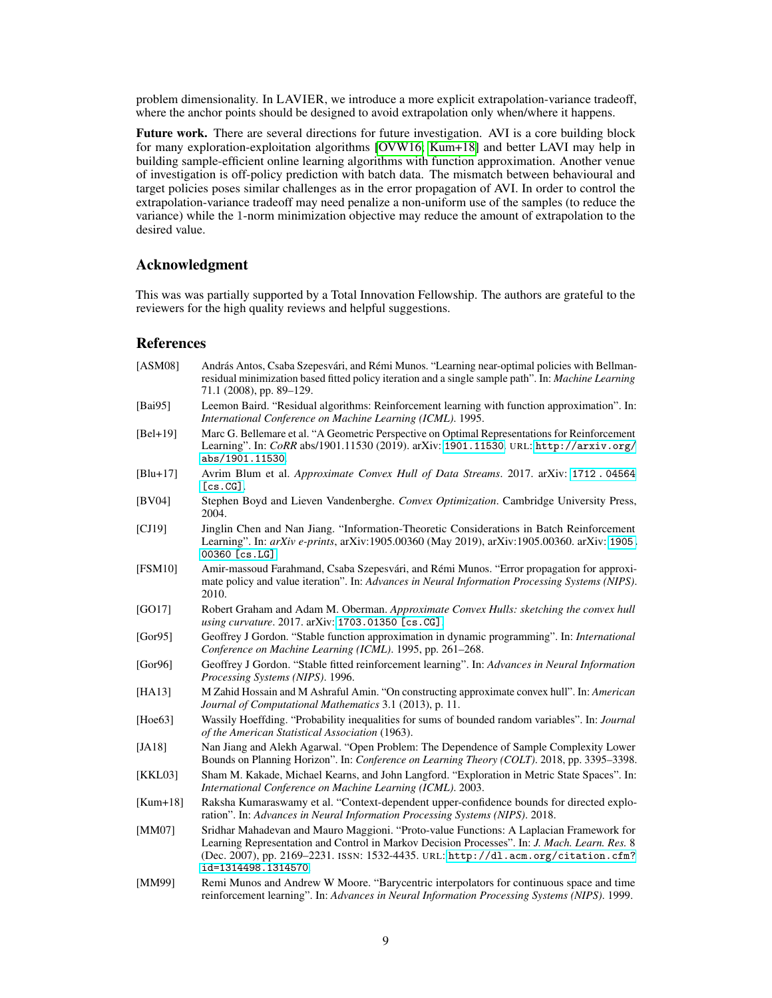problem dimensionality. In LAVIER, we introduce a more explicit extrapolation-variance tradeoff, where the anchor points should be designed to avoid extrapolation only when/where it happens.

Future work. There are several directions for future investigation. AVI is a core building block for many exploration-exploitation algorithms [OVW16] Kum+18] and better LAVI may help in building sample-efficient online learning algorithms with function approximation. Another venue of investigation is off-policy prediction with batch data. The mismatch between behavioural and target policies poses similar challenges as in the error propagation of AVI. In order to control the extrapolation-variance tradeoff may need penalize a non-uniform use of the samples (to reduce the variance) while the 1-norm minimization objective may reduce the amount of extrapolation to the desired value.

## Acknowledgment

This was was partially supported by a Total Innovation Fellowship. The authors are grateful to the reviewers for the high quality reviews and helpful suggestions.

## References

| [ASM08]     | András Antos, Csaba Szepesvári, and Rémi Munos. "Learning near-optimal policies with Bellman-<br>residual minimization based fitted policy iteration and a single sample path". In: Machine Learning<br>71.1 (2008), pp. 89-129.                                                                    |
|-------------|-----------------------------------------------------------------------------------------------------------------------------------------------------------------------------------------------------------------------------------------------------------------------------------------------------|
| [Bai95]     | Leemon Baird. "Residual algorithms: Reinforcement learning with function approximation". In:<br>International Conference on Machine Learning (ICML). 1995.                                                                                                                                          |
| $[Bel+19]$  | Marc G. Bellemare et al. "A Geometric Perspective on Optimal Representations for Reinforcement<br>Learning". In: CoRR abs/1901.11530 (2019). arXiv: 1901.11530 URL: http://arxiv.org/<br>abs/1901.11530                                                                                             |
| $[Blu+17]$  | Avrim Blum et al. Approximate Convex Hull of Data Streams. 2017. arXiv: 1712.04564<br>[cs.CG]                                                                                                                                                                                                       |
| [BV04]      | Stephen Boyd and Lieven Vandenberghe. Convex Optimization. Cambridge University Press,<br>2004.                                                                                                                                                                                                     |
| [CI19]      | Jinglin Chen and Nan Jiang. "Information-Theoretic Considerations in Batch Reinforcement<br>Learning". In: arXiv e-prints, arXiv:1905.00360 (May 2019), arXiv:1905.00360. arXiv:1905.<br>$00360$ [cs.LG]                                                                                            |
| [FSM10]     | Amir-massoud Farahmand, Csaba Szepesvári, and Rémi Munos. "Error propagation for approxi-<br>mate policy and value iteration". In: Advances in Neural Information Processing Systems (NIPS).<br>2010.                                                                                               |
| [GO17]      | Robert Graham and Adam M. Oberman. Approximate Convex Hulls: sketching the convex hull<br>using curvature. 2017. arXiv: 1703.01350 [cs.CG].                                                                                                                                                         |
| [Gor $95$ ] | Geoffrey J Gordon. "Stable function approximation in dynamic programming". In: International<br>Conference on Machine Learning (ICML). 1995, pp. 261-268.                                                                                                                                           |
| [Gor $96$ ] | Geoffrey J Gordon. "Stable fitted reinforcement learning". In: Advances in Neural Information<br>Processing Systems (NIPS). 1996.                                                                                                                                                                   |
| [HA13]      | M Zahid Hossain and M Ashraful Amin. "On constructing approximate convex hull". In: American<br>Journal of Computational Mathematics 3.1 (2013), p. 11.                                                                                                                                             |
| [ $Hoe63$ ] | Wassily Hoeffding. "Probability inequalities for sums of bounded random variables". In: Journal<br>of the American Statistical Association (1963).                                                                                                                                                  |
| [JA18]      | Nan Jiang and Alekh Agarwal. "Open Problem: The Dependence of Sample Complexity Lower<br>Bounds on Planning Horizon". In: Conference on Learning Theory (COLT). 2018, pp. 3395–3398.                                                                                                                |
| [KKL03]     | Sham M. Kakade, Michael Kearns, and John Langford. "Exploration in Metric State Spaces". In:<br>International Conference on Machine Learning (ICML). 2003.                                                                                                                                          |
| $[Kum+18]$  | Raksha Kumaraswamy et al. "Context-dependent upper-confidence bounds for directed explo-<br>ration". In: Advances in Neural Information Processing Systems (NIPS). 2018.                                                                                                                            |
| [MM07]      | Sridhar Mahadevan and Mauro Maggioni. "Proto-value Functions: A Laplacian Framework for<br>Learning Representation and Control in Markov Decision Processes". In: J. Mach. Learn. Res. 8<br>(Dec. 2007), pp. 2169-2231. ISSN: 1532-4435. URL: http://dl.acm.org/citation.cfm?<br>id=1314498.1314570 |
| [MM99]      | Remi Munos and Andrew W Moore. "Barycentric interpolators for continuous space and time<br>reinforcement learning". In: Advances in Neural Information Processing Systems (NIPS). 1999.                                                                                                             |